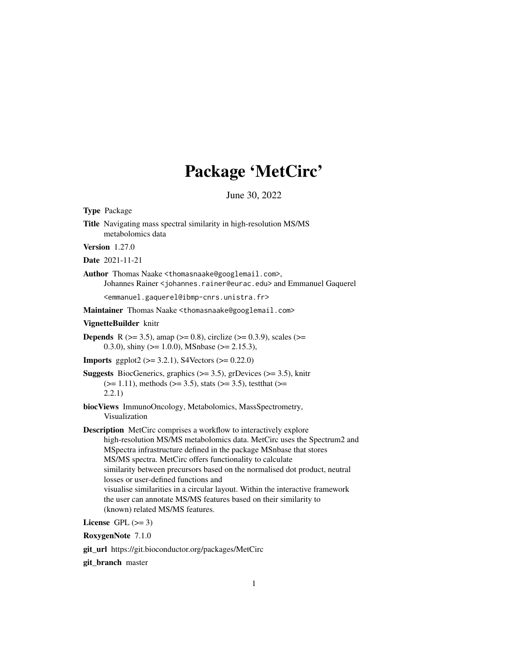# Package 'MetCirc'

June 30, 2022

| <b>Type Package</b>                                                                                                                                                                                                                                                                                                                                                                                                                                                                                                                                                                                  |
|------------------------------------------------------------------------------------------------------------------------------------------------------------------------------------------------------------------------------------------------------------------------------------------------------------------------------------------------------------------------------------------------------------------------------------------------------------------------------------------------------------------------------------------------------------------------------------------------------|
| Title Navigating mass spectral similarity in high-resolution MS/MS<br>metabolomics data                                                                                                                                                                                                                                                                                                                                                                                                                                                                                                              |
| <b>Version</b> 1.27.0                                                                                                                                                                                                                                                                                                                                                                                                                                                                                                                                                                                |
| Date 2021-11-21                                                                                                                                                                                                                                                                                                                                                                                                                                                                                                                                                                                      |
| Author Thomas Naake <thomasnaake@googlemail.com>,<br/>Johannes Rainer &lt; johannes. rainer@eurac.edu&gt; and Emmanuel Gaquerel</thomasnaake@googlemail.com>                                                                                                                                                                                                                                                                                                                                                                                                                                         |
| <emmanuel.gaquerel@ibmp-cnrs.unistra.fr></emmanuel.gaquerel@ibmp-cnrs.unistra.fr>                                                                                                                                                                                                                                                                                                                                                                                                                                                                                                                    |
| Maintainer Thomas Naake <thomasnaake@googlemail.com></thomasnaake@googlemail.com>                                                                                                                                                                                                                                                                                                                                                                                                                                                                                                                    |
| VignetteBuilder knitr                                                                                                                                                                                                                                                                                                                                                                                                                                                                                                                                                                                |
| <b>Depends</b> R ( $>= 3.5$ ), amap ( $>= 0.8$ ), circlize ( $>= 0.3.9$ ), scales ( $>=$<br>0.3.0), shiny ( $> = 1.0.0$ ), MSnbase ( $> = 2.15.3$ ),                                                                                                                                                                                                                                                                                                                                                                                                                                                 |
| <b>Imports</b> ggplot2 ( $>= 3.2.1$ ), S4Vectors ( $>= 0.22.0$ )                                                                                                                                                                                                                                                                                                                                                                                                                                                                                                                                     |
| <b>Suggests</b> BiocGenerics, graphics $(>= 3.5)$ , grDevices $(>= 3.5)$ , knitr<br>$(>= 1.11)$ , methods $(>= 3.5)$ , stats $(>= 3.5)$ , test that $(>= 1.11)$<br>2.2.1)                                                                                                                                                                                                                                                                                                                                                                                                                            |
| biocViews ImmunoOncology, Metabolomics, MassSpectrometry,<br>Visualization                                                                                                                                                                                                                                                                                                                                                                                                                                                                                                                           |
| <b>Description</b> MetCirc comprises a workflow to interactively explore<br>high-resolution MS/MS metabolomics data. MetCirc uses the Spectrum2 and<br>MSpectra infrastructure defined in the package MSnbase that stores<br>MS/MS spectra. MetCirc offers functionality to calculate<br>similarity between precursors based on the normalised dot product, neutral<br>losses or user-defined functions and<br>visualise similarities in a circular layout. Within the interactive framework<br>the user can annotate MS/MS features based on their similarity to<br>(known) related MS/MS features. |
| License GPL $(>= 3)$                                                                                                                                                                                                                                                                                                                                                                                                                                                                                                                                                                                 |
| RoxygenNote 7.1.0                                                                                                                                                                                                                                                                                                                                                                                                                                                                                                                                                                                    |

git\_url https://git.bioconductor.org/packages/MetCirc

git\_branch master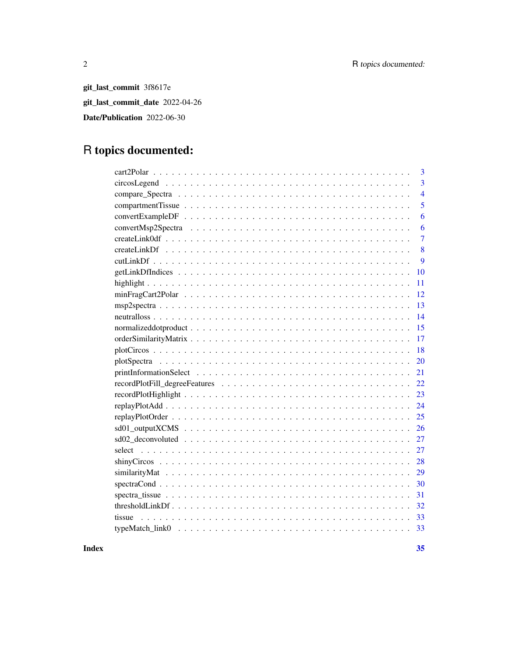git\_last\_commit 3f8617e git\_last\_commit\_date 2022-04-26 Date/Publication 2022-06-30

# R topics documented:

| 3              |
|----------------|
| 3              |
| $\overline{4}$ |
| 5              |
| 6              |
| 6              |
| $\overline{7}$ |
| 8              |
| 9              |
| 10             |
| 11             |
| 12             |
| 13             |
| 14             |
| 15             |
| 17             |
| 18             |
| 20             |
| 21             |
| 22             |
| 23             |
| 24             |
| 25             |
| 26             |
| 27             |
| 27             |
| 28             |
| 29             |
| 30             |
| 31             |
| 32             |
| 33<br>tissue   |
|                |

**Index** [35](#page-34-0)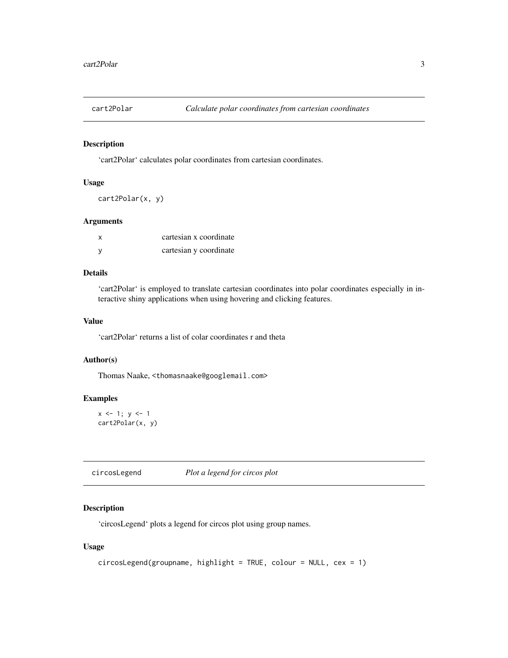<span id="page-2-0"></span>

'cart2Polar' calculates polar coordinates from cartesian coordinates.

### Usage

cart2Polar(x, y)

#### Arguments

| x | cartesian x coordinate |
|---|------------------------|
|   | cartesian y coordinate |

### Details

'cart2Polar' is employed to translate cartesian coordinates into polar coordinates especially in interactive shiny applications when using hovering and clicking features.

### Value

'cart2Polar' returns a list of colar coordinates r and theta

### Author(s)

Thomas Naake, <thomasnaake@googlemail.com>

#### Examples

```
x \le -1; y \le -1cart2Polar(x, y)
```
circosLegend *Plot a legend for circos plot*

### Description

'circosLegend' plots a legend for circos plot using group names.

#### Usage

```
circsLegend(groupname, highlight = TRUE, colour = NULL, cex = 1)
```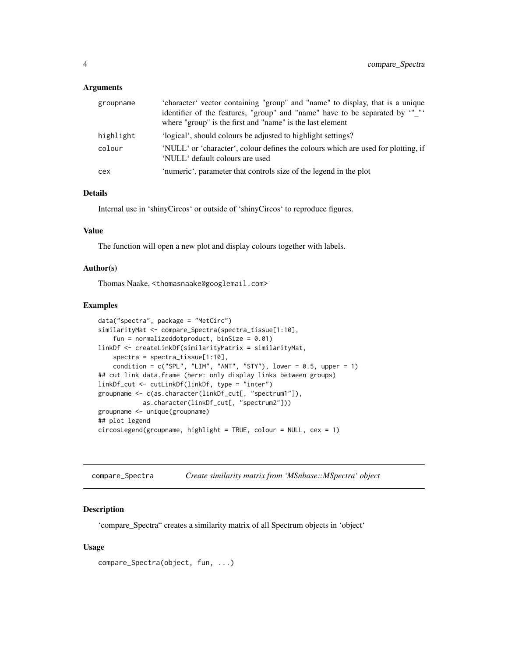#### <span id="page-3-0"></span>Arguments

| groupname | 'character' vector containing "group" and "name" to display, that is a unique<br>identifier of the features, "group" and "name" have to be separated by "_"'<br>where "group" is the first and "name" is the last element |
|-----------|---------------------------------------------------------------------------------------------------------------------------------------------------------------------------------------------------------------------------|
| highlight | 'logical', should colours be adjusted to highlight settings?                                                                                                                                                              |
| colour    | 'NULL' or 'character', colour defines the colours which are used for plotting, if<br>'NULL' default colours are used                                                                                                      |
| cex       | 'numeric', parameter that controls size of the legend in the plot                                                                                                                                                         |

### Details

Internal use in 'shinyCircos' or outside of 'shinyCircos' to reproduce figures.

### Value

The function will open a new plot and display colours together with labels.

#### Author(s)

Thomas Naake, <thomasnaake@googlemail.com>

### Examples

```
data("spectra", package = "MetCirc")
similarityMat <- compare_Spectra(spectra_tissue[1:10],
    fun = normalizeddotproduct, binSize = 0.01)
linkDf <- createLinkDf(similarityMatrix = similarityMat,
    spectra = spectra_tissue[1:10],
    condition = c("SPL", "LIM", "ANT", "STY"), lower = 0.5, upper = 1)## cut link data.frame (here: only display links between groups)
linkDf_cut <- cutLinkDf(linkDf, type = "inter")
groupname <- c(as.character(linkDf_cut[, "spectrum1"]),
            as.character(linkDf_cut[, "spectrum2"]))
groupname <- unique(groupname)
## plot legend
circsLegend(groupname, highlight = TRUE, colour = NULL, cex = 1)
```
compare\_Spectra *Create similarity matrix from 'MSnbase::MSpectra' object*

#### Description

'compare\_Spectra" creates a similarity matrix of all Spectrum objects in 'object'

#### Usage

```
compare_Spectra(object, fun, ...)
```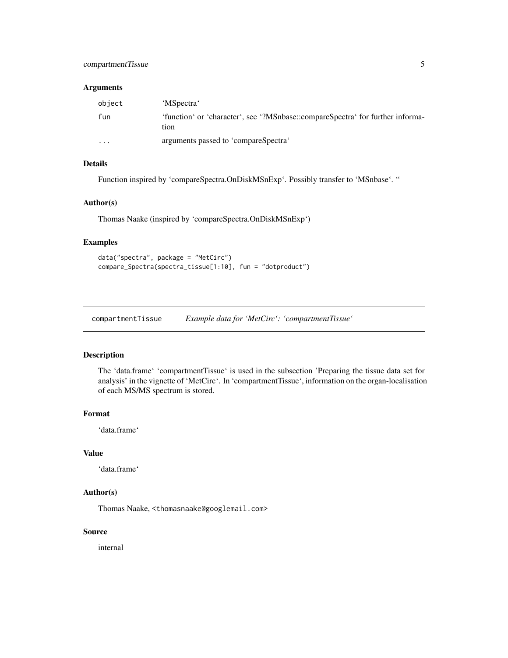### <span id="page-4-0"></span>compartmentTissue 5

### Arguments

| object   | 'MSpectra'                                                                             |
|----------|----------------------------------------------------------------------------------------|
| fun      | 'function' or 'character', see '?MSnbase::compareSpectra' for further informa-<br>tion |
| $\cdots$ | arguments passed to 'compareSpectra'                                                   |

### Details

Function inspired by 'compareSpectra.OnDiskMSnExp'. Possibly transfer to 'MSnbase'. "

### Author(s)

Thomas Naake (inspired by 'compareSpectra.OnDiskMSnExp')

### Examples

```
data("spectra", package = "MetCirc")
compare_Spectra(spectra_tissue[1:10], fun = "dotproduct")
```
compartmentTissue *Example data for 'MetCirc': 'compartmentTissue'*

#### Description

The 'data.frame' 'compartmentTissue' is used in the subsection 'Preparing the tissue data set for analysis' in the vignette of 'MetCirc'. In 'compartmentTissue', information on the organ-localisation of each MS/MS spectrum is stored.

#### Format

'data.frame'

#### Value

'data.frame'

### Author(s)

Thomas Naake, <thomasnaake@googlemail.com>

### Source

internal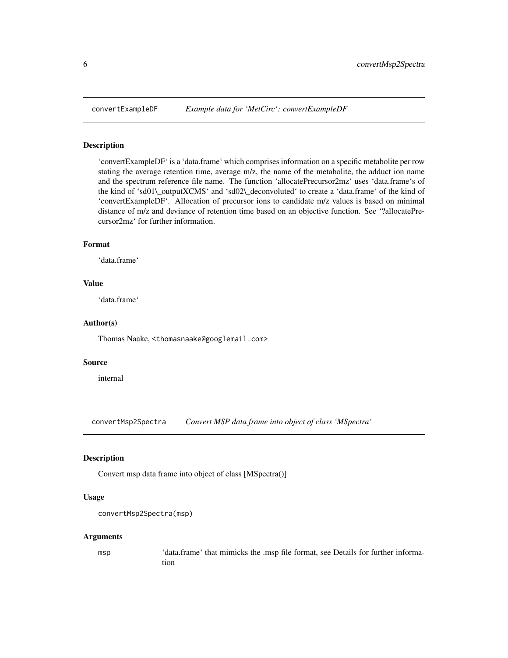<span id="page-5-0"></span>

'convertExampleDF' is a 'data.frame' which comprises information on a specific metabolite per row stating the average retention time, average m/z, the name of the metabolite, the adduct ion name and the spectrum reference file name. The function 'allocatePrecursor2mz' uses 'data.frame's of the kind of 'sd01\\_outputXCMS' and 'sd02\\_deconvoluted' to create a 'data.frame' of the kind of 'convertExampleDF'. Allocation of precursor ions to candidate m/z values is based on minimal distance of m/z and deviance of retention time based on an objective function. See "?allocatePrecursor2mz' for further information.

### Format

'data.frame'

### Value

'data.frame'

### Author(s)

Thomas Naake, <thomasnaake@googlemail.com>

#### Source

internal

convertMsp2Spectra *Convert MSP data frame into object of class 'MSpectra'*

#### Description

Convert msp data frame into object of class [MSpectra()]

### Usage

```
convertMsp2Spectra(msp)
```
#### Arguments

msp 'data.frame' that mimicks the .msp file format, see Details for further information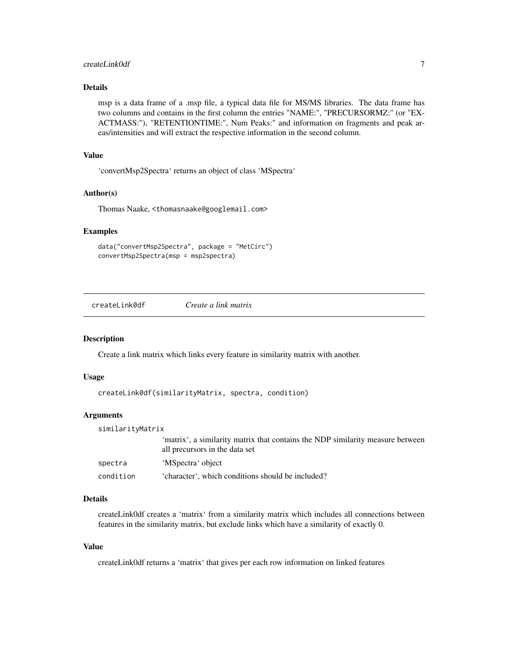### <span id="page-6-0"></span>createLink0df 7

### Details

msp is a data frame of a .msp file, a typical data file for MS/MS libraries. The data frame has two columns and contains in the first column the entries "NAME:", "PRECURSORMZ:" (or "EX-ACTMASS:"), "RETENTIONTIME:", Num Peaks:" and information on fragments and peak areas/intensities and will extract the respective information in the second column.

### Value

'convertMsp2Spectra' returns an object of class 'MSpectra'

#### Author(s)

Thomas Naake, <thomasnaake@googlemail.com>

#### Examples

```
data("convertMsp2Spectra", package = "MetCirc")
convertMsp2Spectra(msp = msp2spectra)
```
createLink0df *Create a link matrix*

#### Description

Create a link matrix which links every feature in similarity matrix with another.

#### Usage

```
createLink0df(similarityMatrix, spectra, condition)
```
#### Arguments

| similarityMatrix |                                                                                                                  |  |
|------------------|------------------------------------------------------------------------------------------------------------------|--|
|                  | 'matrix', a similarity matrix that contains the NDP similarity measure between<br>all precursors in the data set |  |
| spectra          | 'MSpectra' object                                                                                                |  |
| condition        | 'character', which conditions should be included?                                                                |  |

### Details

createLink0df creates a 'matrix' from a similarity matrix which includes all connections between features in the similarity matrix, but exclude links which have a similarity of exactly 0.

### Value

createLink0df returns a 'matrix' that gives per each row information on linked features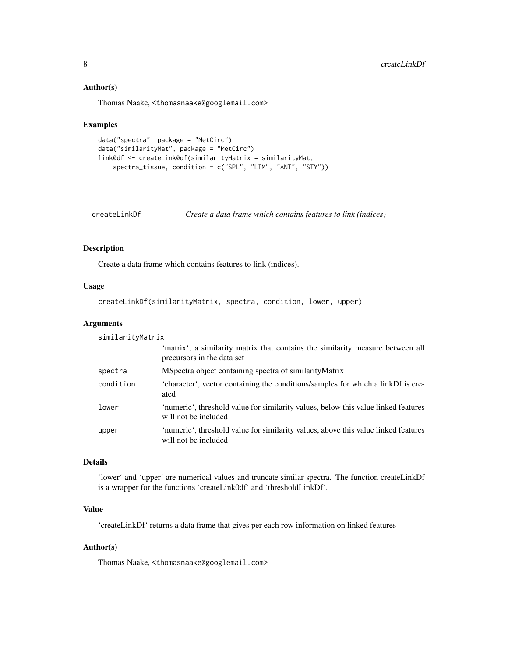#### <span id="page-7-0"></span>Author(s)

Thomas Naake, <thomasnaake@googlemail.com>

#### Examples

```
data("spectra", package = "MetCirc")
data("similarityMat", package = "MetCirc")
link0df <- createLink0df(similarityMatrix = similarityMat,
    spectra_tissue, condition = c("SPL", "LIM", "ANT", "STY"))
```
createLinkDf *Create a data frame which contains features to link (indices)*

### Description

Create a data frame which contains features to link (indices).

### Usage

```
createLinkDf(similarityMatrix, spectra, condition, lower, upper)
```
#### Arguments

similarityMatrix

|           | 'matrix', a similarity matrix that contains the similarity measure between all<br>precursors in the data set |
|-----------|--------------------------------------------------------------------------------------------------------------|
| spectra   | MSpectra object containing spectra of similarity Matrix                                                      |
| condition | 'character', vector containing the conditions/samples for which a linkDf is cre-<br>ated                     |
| lower     | 'numeric', threshold value for similarity values, below this value linked features<br>will not be included   |
| upper     | 'numeric', threshold value for similarity values, above this value linked features<br>will not be included   |

### Details

'lower' and 'upper' are numerical values and truncate similar spectra. The function createLinkDf is a wrapper for the functions 'createLink0df' and 'thresholdLinkDf'.

### Value

'createLinkDf' returns a data frame that gives per each row information on linked features

### Author(s)

Thomas Naake, <thomasnaake@googlemail.com>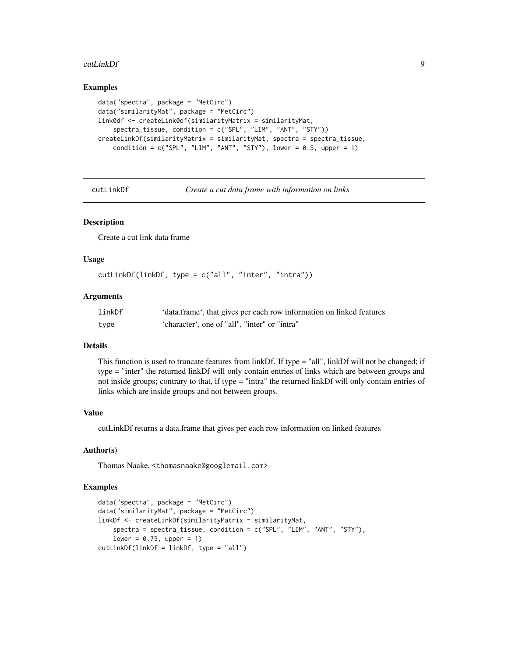#### <span id="page-8-0"></span>cutLinkDf 9

#### Examples

```
data("spectra", package = "MetCirc")
data("similarityMat", package = "MetCirc")
link0df <- createLink0df(similarityMatrix = similarityMat,
    spectra_tissue, condition = c("SPL", "LIM", "ANT", "STY"))
createLinkDf(similarityMatrix = similarityMat, spectra = spectra_tissue,
    condition = c("SPL", "LIM", "ANT", "STY"), lower = 0.5, upper = 1)
```
cutLinkDf *Create a cut data frame with information on links*

#### Description

Create a cut link data frame

#### Usage

```
cutLinkDf(linkDf, type = c("all", "inter", "intra"))
```
### Arguments

| linkDf | 'data.frame', that gives per each row information on linked features |
|--------|----------------------------------------------------------------------|
| type   | 'character', one of "all", "inter" or "intra"                        |

#### Details

This function is used to truncate features from linkDf. If type = "all", linkDf will not be changed; if type = "inter" the returned linkDf will only contain entries of links which are between groups and not inside groups; contrary to that, if type = "intra" the returned linkDf will only contain entries of links which are inside groups and not between groups.

### Value

cutLinkDf returns a data.frame that gives per each row information on linked features

### Author(s)

Thomas Naake, <thomasnaake@googlemail.com>

```
data("spectra", package = "MetCirc")
data("similarityMat", package = "MetCirc")
linkDf <- createLinkDf(similarityMatrix = similarityMat,
    spectra = spectra_tissue, condition = c("SPL", "LIM", "ANT", "STY"),
    lower = 0.75, upper = 1)
cutLinkDf(linkDf = linkDf, type = "all")
```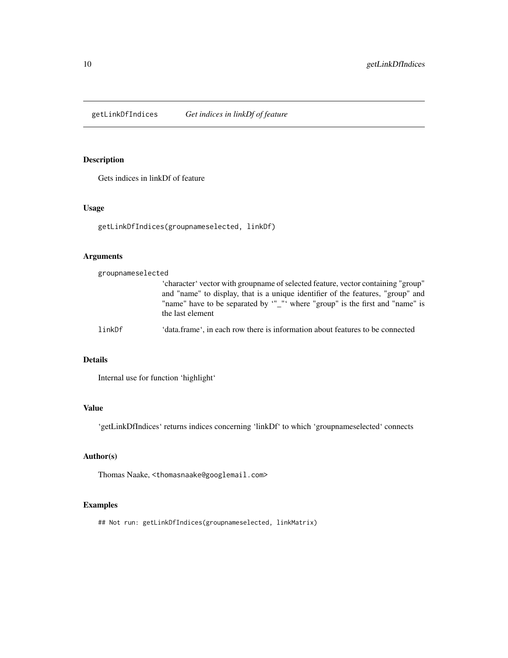<span id="page-9-0"></span>getLinkDfIndices *Get indices in linkDf of feature*

### Description

Gets indices in linkDf of feature

### Usage

getLinkDfIndices(groupnameselected, linkDf)

### Arguments

| groupnameselected                                                                                                                                                                                                                                                       |                                                                               |
|-------------------------------------------------------------------------------------------------------------------------------------------------------------------------------------------------------------------------------------------------------------------------|-------------------------------------------------------------------------------|
| "character" vector with groupname of selected feature, vector containing "group"<br>and "name" to display, that is a unique identifier of the features, "group" and<br>"name" have to be separated by "_"' where "group" is the first and "name" is<br>the last element |                                                                               |
| linkDf                                                                                                                                                                                                                                                                  | 'data.frame', in each row there is information about features to be connected |

### Details

Internal use for function 'highlight'

### Value

'getLinkDfIndices' returns indices concerning 'linkDf' to which 'groupnameselected' connects

### Author(s)

Thomas Naake, <thomasnaake@googlemail.com>

### Examples

## Not run: getLinkDfIndices(groupnameselected, linkMatrix)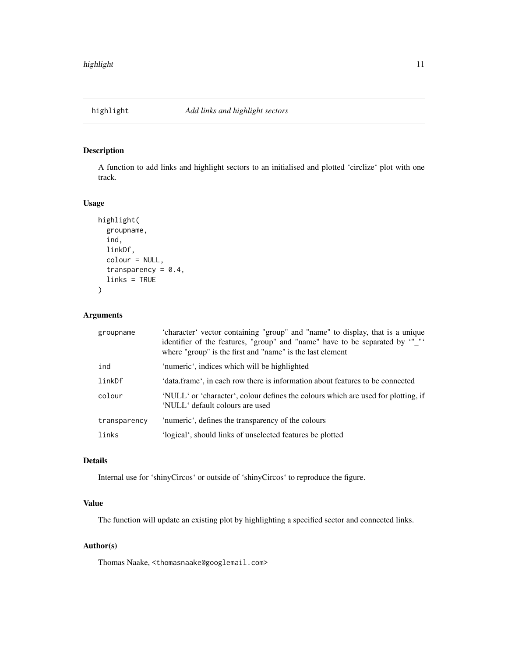<span id="page-10-0"></span>

A function to add links and highlight sectors to an initialised and plotted 'circlize' plot with one track.

### Usage

```
highlight(
  groupname,
  ind,
  linkDf,
  colour = NULL,
  transparency = 0.4,
  links = TRUE
)
```
### Arguments

| groupname    | 'character' vector containing "group" and "name" to display, that is a unique<br>identifier of the features, "group" and "name" have to be separated by "_"'<br>where "group" is the first and "name" is the last element |
|--------------|---------------------------------------------------------------------------------------------------------------------------------------------------------------------------------------------------------------------------|
| ind          | 'numeric', indices which will be highlighted                                                                                                                                                                              |
| linkDf       | 'data.frame', in each row there is information about features to be connected                                                                                                                                             |
| colour       | 'NULL' or 'character', colour defines the colours which are used for plotting, if<br>'NULL' default colours are used                                                                                                      |
| transparency | 'numeric', defines the transparency of the colours                                                                                                                                                                        |
| links        | 'logical', should links of unselected features be plotted                                                                                                                                                                 |

#### Details

Internal use for 'shinyCircos' or outside of 'shinyCircos' to reproduce the figure.

### Value

The function will update an existing plot by highlighting a specified sector and connected links.

### Author(s)

Thomas Naake, <thomasnaake@googlemail.com>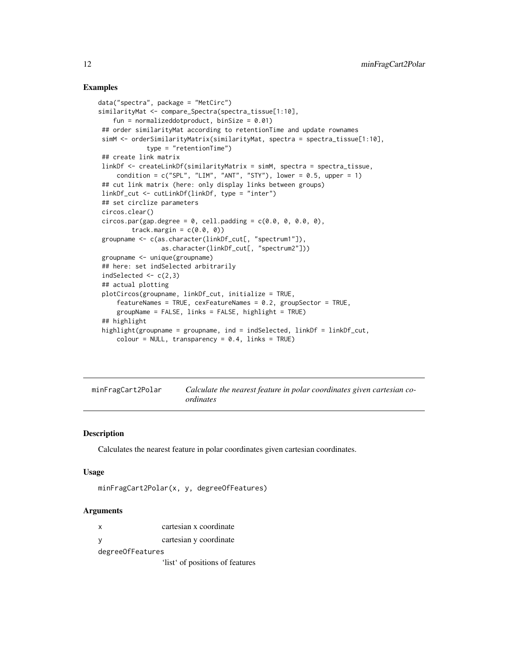#### <span id="page-11-0"></span>Examples

```
data("spectra", package = "MetCirc")
similarityMat <- compare_Spectra(spectra_tissue[1:10],
   fun = normalizeddotproduct, binSize = 0.01)
## order similarityMat according to retentionTime and update rownames
simM <- orderSimilarityMatrix(similarityMat, spectra = spectra_tissue[1:10],
            type = "retentionTime")
## create link matrix
linkDf <- createLinkDf(similarityMatrix = simM, spectra = spectra_tissue,
    condition = c("SPL", "LIM", "ANT", "STY"), lower = 0.5, upper = 1)## cut link matrix (here: only display links between groups)
linkDf_cut <- cutLinkDf(linkDf, type = "inter")
## set circlize parameters
circos.clear()
circos.par(gap. degree = 0, cell.padding = c(0.0, 0, 0.0, 0),track.margin = c(0.0, 0)groupname <- c(as.character(linkDf_cut[, "spectrum1"]),
                as.character(linkDf_cut[, "spectrum2"]))
groupname <- unique(groupname)
## here: set indSelected arbitrarily
indSelected \leq c(2,3)
## actual plotting
plotCircos(groupname, linkDf_cut, initialize = TRUE,
     featureNames = TRUE, cexFeatureNames = 0.2, groupSector = TRUE,
    groupName = FALSE, links = FALSE, highlight = TRUE)
## highlight
highlight(groupname = groupname, ind = indSelected, linkDf = linkDf_cut,
    color = NULL, transparency = 0.4, links = TRUE)
```
minFragCart2Polar *Calculate the nearest feature in polar coordinates given cartesian coordinates*

#### **Description**

Calculates the nearest feature in polar coordinates given cartesian coordinates.

#### Usage

```
minFragCart2Polar(x, y, degreeOfFeatures)
```
#### Arguments

| x                  | cartesian x coordinate |
|--------------------|------------------------|
| - V                | cartesian y coordinate |
| degree Of Features |                        |

'list' of positions of features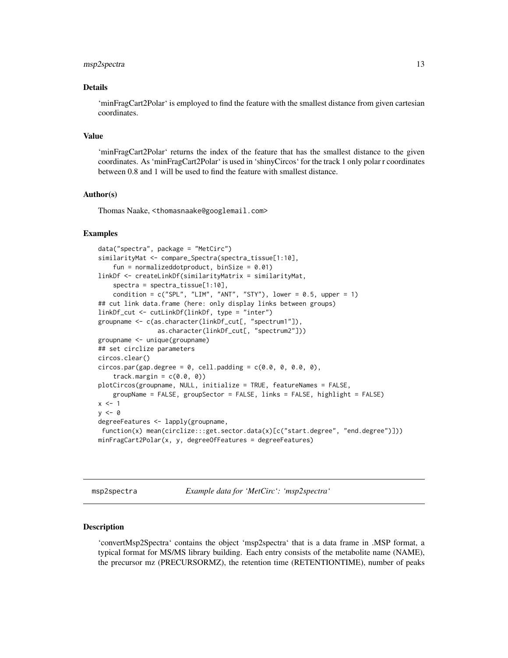#### <span id="page-12-0"></span>msp2spectra 13

#### Details

'minFragCart2Polar' is employed to find the feature with the smallest distance from given cartesian coordinates.

### Value

'minFragCart2Polar' returns the index of the feature that has the smallest distance to the given coordinates. As 'minFragCart2Polar' is used in 'shinyCircos' for the track 1 only polar r coordinates between 0.8 and 1 will be used to find the feature with smallest distance.

#### Author(s)

Thomas Naake, <thomasnaake@googlemail.com>

#### Examples

```
data("spectra", package = "MetCirc")
similarityMat <- compare_Spectra(spectra_tissue[1:10],
    fun = normalizeddotproduct, binSize = 0.01)
linkDf <- createLinkDf(similarityMatrix = similarityMat,
    spectra = spectra_tissue[1:10],
    condition = c("SPL", "LIM", "ANT", "STY"), lower = 0.5, upper = 1)## cut link data.frame (here: only display links between groups)
linkDf_cut <- cutLinkDf(linkDf, type = "inter")
groupname <- c(as.character(linkDf_cut[, "spectrum1"]),
                as.character(linkDf_cut[, "spectrum2"]))
groupname <- unique(groupname)
## set circlize parameters
circos.clear()
circos.par(gap.degree = 0, cell.padding = c(0.0, 0, 0.0, 0),
    track.margin = c(0.0, 0)plotCircos(groupname, NULL, initialize = TRUE, featureNames = FALSE,
    groupName = FALSE, groupSector = FALSE, links = FALSE, highlight = FALSE)
x < -1y \le -\thetadegreeFeatures <- lapply(groupname,
 function(x) mean(circlize:::get.sector.data(x)[c("start.degree", "end.degree")]))
minFragCart2Polar(x, y, degreeOfFeatures = degreeFeatures)
```
msp2spectra *Example data for 'MetCirc': 'msp2spectra'*

#### **Description**

'convertMsp2Spectra' contains the object 'msp2spectra' that is a data frame in .MSP format, a typical format for MS/MS library building. Each entry consists of the metabolite name (NAME), the precursor mz (PRECURSORMZ), the retention time (RETENTIONTIME), number of peaks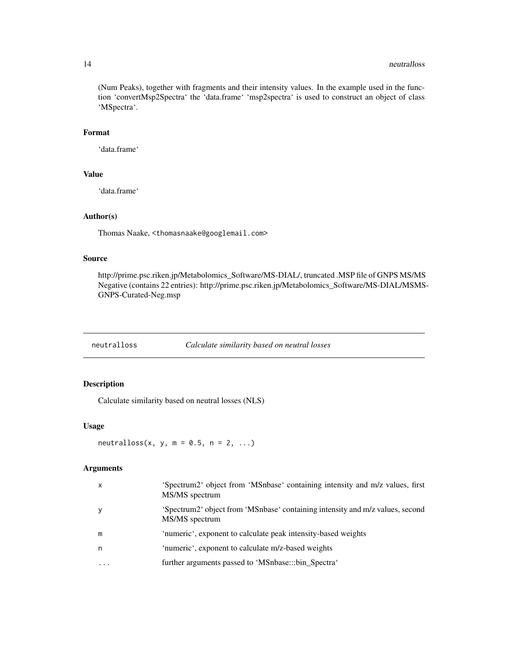#### <span id="page-13-0"></span>14 neutralloss and the contract of the contract of the contract of the contract of the contract of the contract of the contract of the contract of the contract of the contract of the contract of the contract of the contrac

(Num Peaks), together with fragments and their intensity values. In the example used in the function 'convertMsp2Spectra' the 'data.frame' 'msp2spectra' is used to construct an object of class 'MSpectra'.

### Format

'data.frame'

## Value

'data.frame'

### Author(s)

Thomas Naake, <thomasnaake@googlemail.com>

#### Source

http://prime.psc.riken.jp/Metabolomics\_Software/MS-DIAL/, truncated .MSP file of GNPS MS/MS Negative (contains 22 entries): http://prime.psc.riken.jp/Metabolomics\_Software/MS-DIAL/MSMS-GNPS-Curated-Neg.msp

neutralloss *Calculate similarity based on neutral losses*

### Description

Calculate similarity based on neutral losses (NLS)

### Usage

neutralloss(x, y,  $m = 0.5$ ,  $n = 2$ , ...)

### Arguments

| X         | 'Spectrum2' object from 'MSnbase' containing intensity and m/z values, first<br>MS/MS spectrum  |
|-----------|-------------------------------------------------------------------------------------------------|
| y         | 'Spectrum2' object from 'MSnbase' containing intensity and m/z values, second<br>MS/MS spectrum |
| m         | 'numeric', exponent to calculate peak intensity-based weights                                   |
| n         | 'numeric', exponent to calculate m/z-based weights                                              |
| $\ddotsc$ | further arguments passed to 'MSnbase:::bin_Spectra'                                             |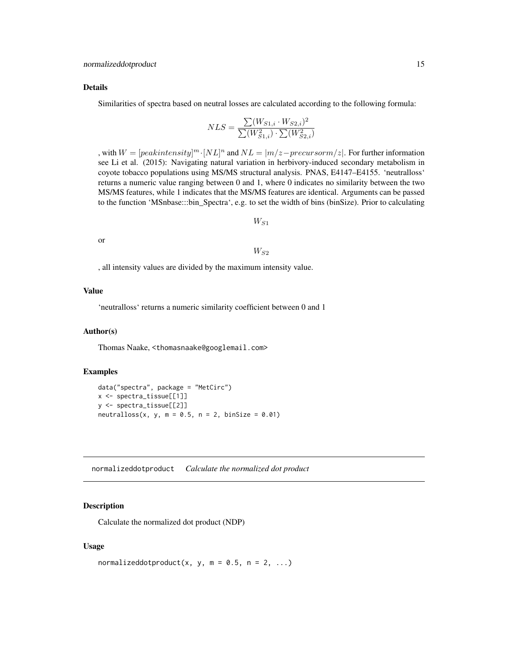#### <span id="page-14-0"></span>Details

Similarities of spectra based on neutral losses are calculated according to the following formula:

$$
NLS = \frac{\sum (W_{S1,i} \cdot W_{S2,i})^2}{\sum (W_{S1,i}^2) \cdot \sum (W_{S2,i}^2)}
$$

, with  $W = [peak intensity]^m \cdot [NL]^n$  and  $NL = |m/z - precursorm/z|$ . For further information see Li et al. (2015): Navigating natural variation in herbivory-induced secondary metabolism in coyote tobacco populations using MS/MS structural analysis. PNAS, E4147–E4155. 'neutralloss' returns a numeric value ranging between 0 and 1, where 0 indicates no similarity between the two MS/MS features, while 1 indicates that the MS/MS features are identical. Arguments can be passed to the function 'MSnbase:::bin\_Spectra', e.g. to set the width of bins (binSize). Prior to calculating

 $W_{S1}$ 

or

 $W_{S2}$ 

, all intensity values are divided by the maximum intensity value.

#### Value

'neutralloss' returns a numeric similarity coefficient between 0 and 1

#### Author(s)

Thomas Naake, <thomasnaake@googlemail.com>

#### Examples

```
data("spectra", package = "MetCirc")
x <- spectra_tissue[[1]]
y <- spectra_tissue[[2]]
neutralloss(x, y, m = 0.5, n = 2, binSize = 0.01)
```
normalizeddotproduct *Calculate the normalized dot product*

#### Description

Calculate the normalized dot product (NDP)

#### Usage

normalizeddotproduct(x, y,  $m = 0.5$ ,  $n = 2$ , ...)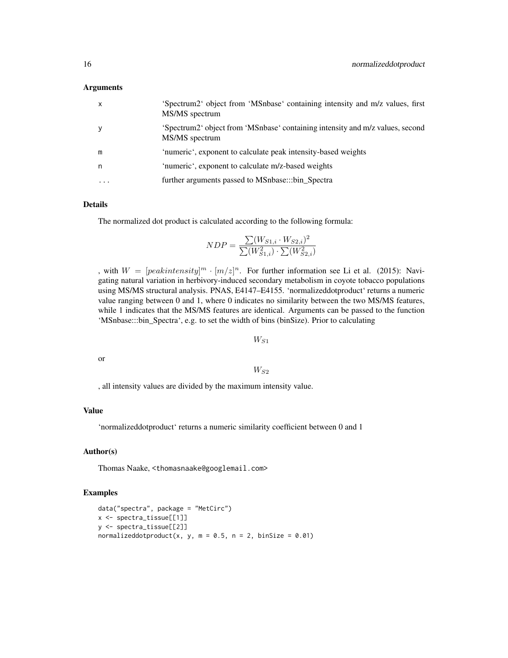#### Arguments

| $\mathsf{x}$ | 'Spectrum2' object from 'MSnbase' containing intensity and m/z values, first<br>MS/MS spectrum  |
|--------------|-------------------------------------------------------------------------------------------------|
| y            | 'Spectrum2' object from 'MSnbase' containing intensity and m/z values, second<br>MS/MS spectrum |
| m            | 'numeric', exponent to calculate peak intensity-based weights                                   |
| n            | 'numeric', exponent to calculate m/z-based weights                                              |
| $\cdots$     | further arguments passed to MSnbase:::bin_Spectra                                               |

#### Details

The normalized dot product is calculated according to the following formula:

$$
NDP = \frac{\sum (W_{S1,i} \cdot W_{S2,i})^2}{\sum (W_{S1,i}^2) \cdot \sum (W_{S2,i}^2)}
$$

, with  $W = [peakintensity]^m \cdot [m/z]^n$ . For further information see Li et al. (2015): Navigating natural variation in herbivory-induced secondary metabolism in coyote tobacco populations using MS/MS structural analysis. PNAS, E4147–E4155. 'normalizeddotproduct' returns a numeric value ranging between 0 and 1, where 0 indicates no similarity between the two MS/MS features, while 1 indicates that the MS/MS features are identical. Arguments can be passed to the function 'MSnbase:::bin\_Spectra', e.g. to set the width of bins (binSize). Prior to calculating

### $W_{S1}$

or

### $W_{S2}$

, all intensity values are divided by the maximum intensity value.

### Value

'normalizeddotproduct' returns a numeric similarity coefficient between 0 and 1

### Author(s)

Thomas Naake, <thomasnaake@googlemail.com>

```
data("spectra", package = "MetCirc")
x <- spectra_tissue[[1]]
y <- spectra_tissue[[2]]
normalizeddotproduct(x, y, m = 0.5, n = 2, binSize = 0.01)
```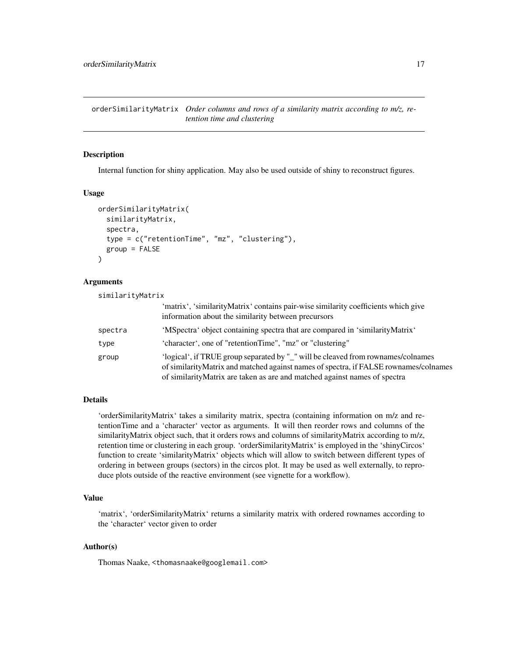<span id="page-16-0"></span>orderSimilarityMatrix *Order columns and rows of a similarity matrix according to m/z, retention time and clustering*

#### Description

Internal function for shiny application. May also be used outside of shiny to reconstruct figures.

#### Usage

```
orderSimilarityMatrix(
  similarityMatrix,
  spectra,
  type = c("retentionTime", "mz", "clustering"),
  group = FALSE
)
```
#### Arguments

| similarityMatrix |                                                                                                                                                                                                                                                        |
|------------------|--------------------------------------------------------------------------------------------------------------------------------------------------------------------------------------------------------------------------------------------------------|
|                  | 'matrix', 'similarityMatrix' contains pair-wise similarity coefficients which give<br>information about the similarity between precursors                                                                                                              |
| spectra          | 'MSpectra' object containing spectra that are compared in 'similarityMatrix'                                                                                                                                                                           |
| type             | 'character', one of "retentionTime", "mz" or "clustering"                                                                                                                                                                                              |
| group            | 'logical', if TRUE group separated by "_" will be cleaved from rownames/colnames<br>of similarityMatrix and matched against names of spectra, if FALSE rownames/colnames<br>of similarity Matrix are taken as are and matched against names of spectra |

#### Details

'orderSimilarityMatrix' takes a similarity matrix, spectra (containing information on m/z and retentionTime and a 'character' vector as arguments. It will then reorder rows and columns of the similarityMatrix object such, that it orders rows and columns of similarityMatrix according to m/z, retention time or clustering in each group. 'orderSimilarityMatrix' is employed in the 'shinyCircos' function to create 'similarityMatrix' objects which will allow to switch between different types of ordering in between groups (sectors) in the circos plot. It may be used as well externally, to reproduce plots outside of the reactive environment (see vignette for a workflow).

### Value

'matrix', 'orderSimilarityMatrix' returns a similarity matrix with ordered rownames according to the 'character' vector given to order

### Author(s)

Thomas Naake, <thomasnaake@googlemail.com>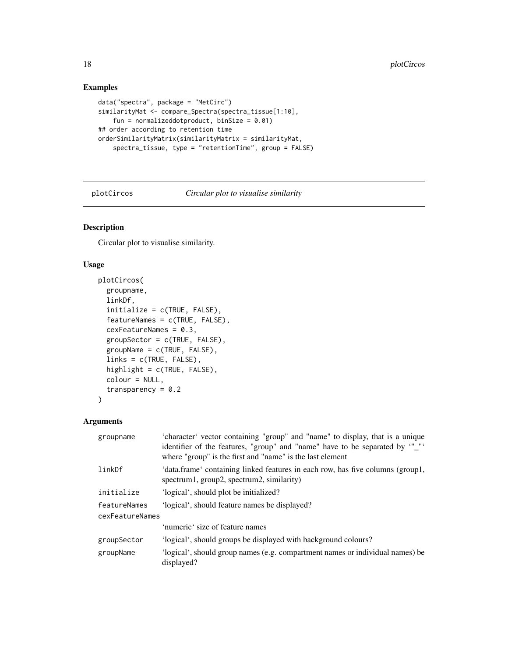### Examples

```
data("spectra", package = "MetCirc")
similarityMat <- compare_Spectra(spectra_tissue[1:10],
    fun = normalizeddotproduct, binSize = 0.01)
## order according to retention time
orderSimilarityMatrix(similarityMatrix = similarityMat,
    spectra_tissue, type = "retentionTime", group = FALSE)
```
plotCircos *Circular plot to visualise similarity*

### Description

Circular plot to visualise similarity.

### Usage

```
plotCircos(
  groupname,
  linkDf,
  initialize = c(TRUE, FALSE),
  featureNames = c(TRUE, FALSE),
  cexFeatureNames = 0.3,
  groupSector = c(TRUE, FALSE),
  groupName = c(TRUE, FALSE),
  links = c(TRUE, FALSE),
  highlight = c(TRUE, FALSE),
  colour = NULL,
  transparency = 0.2\lambda
```
#### Arguments

| groupname       | 'character' vector containing "group" and "name" to display, that is a unique<br>identifier of the features, "group" and "name" have to be separated by "_"'<br>where "group" is the first and "name" is the last element |  |
|-----------------|---------------------------------------------------------------------------------------------------------------------------------------------------------------------------------------------------------------------------|--|
| linkDf          | 'data.frame' containing linked features in each row, has five columns (group1,<br>spectrum1, group2, spectrum2, similarity)                                                                                               |  |
| initialize      | 'logical', should plot be initialized?                                                                                                                                                                                    |  |
| featureNames    | 'logical', should feature names be displayed?                                                                                                                                                                             |  |
| cexFeatureNames |                                                                                                                                                                                                                           |  |
|                 | 'numeric' size of feature names                                                                                                                                                                                           |  |
| groupSector     | 'logical', should groups be displayed with background colours?                                                                                                                                                            |  |
| groupName       | 'logical', should group names (e.g. compartment names or individual names) be<br>displayed?                                                                                                                               |  |

<span id="page-17-0"></span>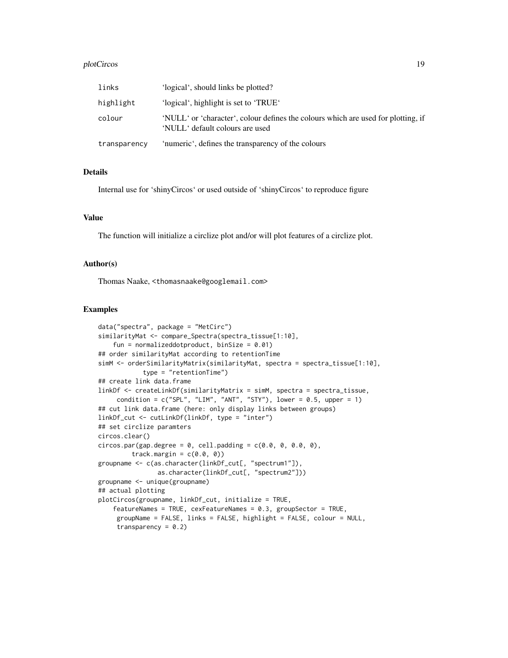#### plotCircos to the contract of the contract of the contract of the contract of the contract of the contract of the contract of the contract of the contract of the contract of the contract of the contract of the contract of

| links        | 'logical', should links be plotted?                                                                                  |
|--------------|----------------------------------------------------------------------------------------------------------------------|
| highlight    | 'logical', highlight is set to 'TRUE'                                                                                |
| colour       | 'NULL' or 'character', colour defines the colours which are used for plotting, if<br>'NULL' default colours are used |
| transparency | 'numeric', defines the transparency of the colours                                                                   |

### Details

Internal use for 'shinyCircos' or used outside of 'shinyCircos' to reproduce figure

### Value

The function will initialize a circlize plot and/or will plot features of a circlize plot.

#### Author(s)

Thomas Naake, <thomasnaake@googlemail.com>

```
data("spectra", package = "MetCirc")
similarityMat <- compare_Spectra(spectra_tissue[1:10],
    fun = normalizeddotproduct, binSize = 0.01)
## order similarityMat according to retentionTime
simM <- orderSimilarityMatrix(similarityMat, spectra = spectra_tissue[1:10],
            type = "retentionTime")
## create link data.frame
linkDf <- createLinkDf(similarityMatrix = simM, spectra = spectra_tissue,
     condition = c("SPL", "LIM", "ANT", "STY"), lower = 0.5, upper = 1)## cut link data.frame (here: only display links between groups)
linkDf_cut <- cutLinkDf(linkDf, type = "inter")
## set circlize paramters
circos.clear()
circos.par(gap.degree = 0, cell.padding = c(0.0, 0, 0.0, 0),track.margin = c(0.0, 0)groupname <- c(as.character(linkDf_cut[, "spectrum1"]),
                as.character(linkDf_cut[, "spectrum2"]))
groupname <- unique(groupname)
## actual plotting
plotCircos(groupname, linkDf_cut, initialize = TRUE,
    featureNames = TRUE, cexFeatureNames = 0.3, groupSector = TRUE,
     groupName = FALSE, links = FALSE, highlight = FALSE, colour = NULL,
     transparency = 0.2)
```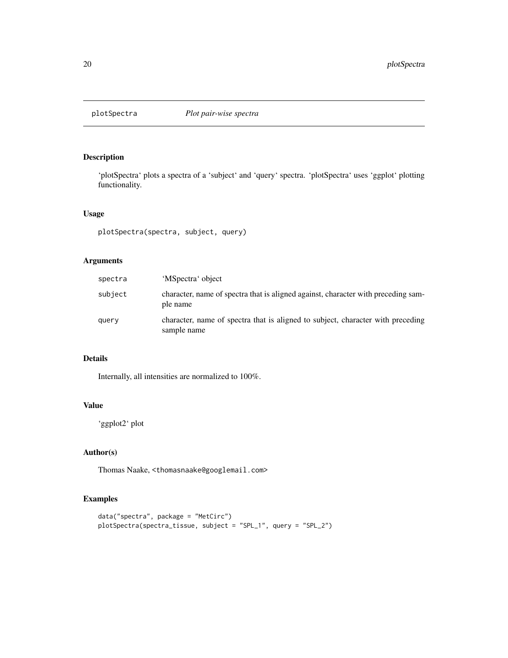<span id="page-19-0"></span>

'plotSpectra' plots a spectra of a 'subject' and 'query' spectra. 'plotSpectra' uses 'ggplot' plotting functionality.

#### Usage

```
plotSpectra(spectra, subject, query)
```
### Arguments

| spectra | 'MSpectra' object                                                                              |
|---------|------------------------------------------------------------------------------------------------|
| subject | character, name of spectra that is aligned against, character with preceding sam-<br>ple name  |
| query   | character, name of spectra that is aligned to subject, character with preceding<br>sample name |

### Details

Internally, all intensities are normalized to 100%.

#### Value

'ggplot2' plot

### Author(s)

Thomas Naake, <thomasnaake@googlemail.com>

```
data("spectra", package = "MetCirc")
plotSpectra(spectra_tissue, subject = "SPL_1", query = "SPL_2")
```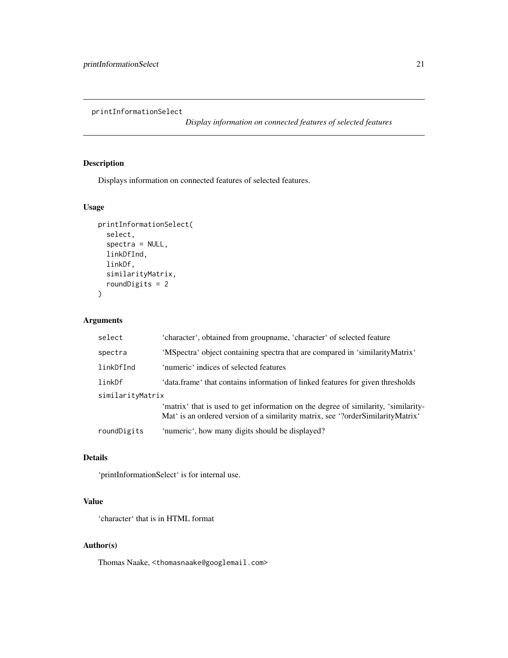<span id="page-20-0"></span>printInformationSelect

*Display information on connected features of selected features*

### Description

Displays information on connected features of selected features.

### Usage

```
printInformationSelect(
  select,
  spectra = NULL,
  linkDfInd,
  linkDf,
  similarityMatrix,
  roundDigits = 2
\mathcal{L}
```
### Arguments

| select           | 'character', obtained from groupname, 'character' of selected feature                                                                                                 |  |
|------------------|-----------------------------------------------------------------------------------------------------------------------------------------------------------------------|--|
| spectra          | 'MSpectra' object containing spectra that are compared in 'similarityMatrix'                                                                                          |  |
| linkDfInd        | 'numeric' indices of selected features                                                                                                                                |  |
| linkDf           | 'data.frame' that contains information of linked features for given thresholds                                                                                        |  |
| similarityMatrix |                                                                                                                                                                       |  |
|                  | 'matrix' that is used to get information on the degree of similarity, 'similarity-<br>Mat' is an ordered version of a similarity matrix, see '?orderSimilarityMatrix' |  |
| roundDigits      | 'numeric', how many digits should be displayed?                                                                                                                       |  |

### Details

'printInformationSelect' is for internal use.

### Value

'character' that is in HTML format

### Author(s)

Thomas Naake, <thomasnaake@googlemail.com>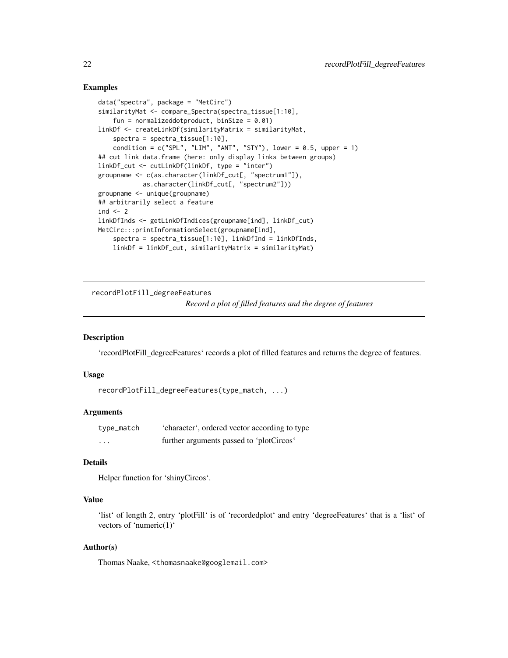#### <span id="page-21-0"></span>Examples

```
data("spectra", package = "MetCirc")
similarityMat <- compare_Spectra(spectra_tissue[1:10],
    fun = normalizeddotproduct, binSize = 0.01)
linkDf <- createLinkDf(similarityMatrix = similarityMat,
   spectra = spectra_tissue[1:10],
   condition = c("SPL", "LIM", "ANT", "STY"), lower = 0.5, upper = 1)## cut link data.frame (here: only display links between groups)
linkDf_cut <- cutLinkDf(linkDf, type = "inter")
groupname <- c(as.character(linkDf_cut[, "spectrum1"]),
           as.character(linkDf_cut[, "spectrum2"]))
groupname <- unique(groupname)
## arbitrarily select a feature
ind <-2linkDfInds <- getLinkDfIndices(groupname[ind], linkDf_cut)
MetCirc:::printInformationSelect(groupname[ind],
    spectra = spectra_tissue[1:10], linkDfInd = linkDfInds,
   linkDf = linkDf_cut, similarityMatrix = similarityMat)
```
recordPlotFill\_degreeFeatures

*Record a plot of filled features and the degree of features*

### **Description**

'recordPlotFill\_degreeFeatures' records a plot of filled features and returns the degree of features.

#### Usage

```
recordPlotFill_degreeFeatures(type_match, ...)
```
### Arguments

| type_match              | 'character', ordered vector according to type |
|-------------------------|-----------------------------------------------|
| $\cdot$ $\cdot$ $\cdot$ | further arguments passed to 'plotCircos'      |

### Details

```
Helper function for 'shinyCircos'.
```
#### Value

'list' of length 2, entry 'plotFill' is of 'recordedplot' and entry 'degreeFeatures' that is a 'list' of vectors of 'numeric(1)'

#### Author(s)

Thomas Naake, <thomasnaake@googlemail.com>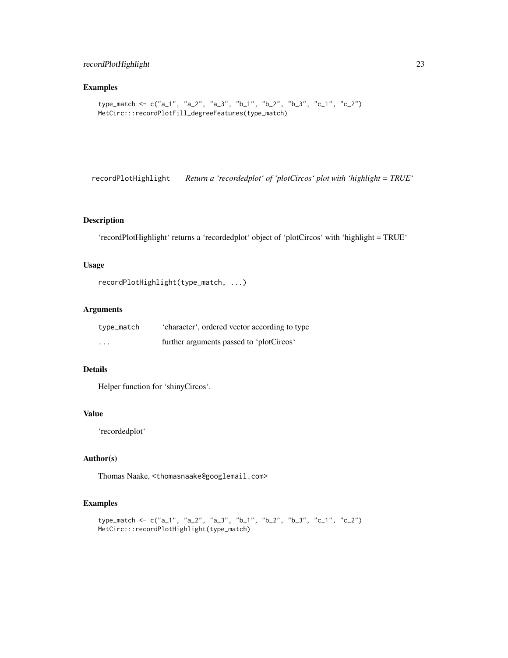### <span id="page-22-0"></span>recordPlotHighlight 23

### Examples

```
type_match <- c("a_1", "a_2", "a_3", "b_1", "b_2", "b_3", "c_1", "c_2")
MetCirc:::recordPlotFill_degreeFeatures(type_match)
```
recordPlotHighlight *Return a 'recordedplot' of 'plotCircos' plot with 'highlight = TRUE'*

### Description

'recordPlotHighlight' returns a 'recordedplot' object of 'plotCircos' with 'highlight = TRUE'

### Usage

```
recordPlotHighlight(type_match, ...)
```
#### Arguments

| type_match              | 'character', ordered vector according to type |
|-------------------------|-----------------------------------------------|
| $\cdot$ $\cdot$ $\cdot$ | further arguments passed to 'plotCircos'      |

### Details

Helper function for 'shinyCircos'.

#### Value

'recordedplot'

### Author(s)

Thomas Naake, <thomasnaake@googlemail.com>

```
type_match <- c("a_1", "a_2", "a_3", "b_1", "b_2", "b_3", "c_1", "c_2")
MetCirc:::recordPlotHighlight(type_match)
```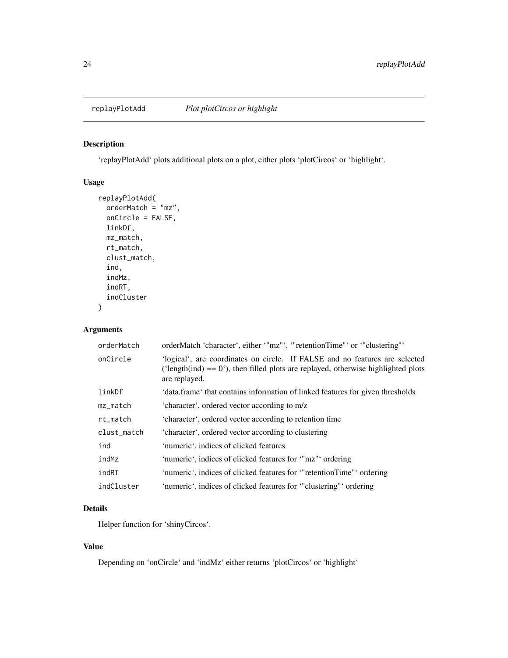<span id="page-23-0"></span>

'replayPlotAdd' plots additional plots on a plot, either plots 'plotCircos' or 'highlight'.

### Usage

```
replayPlotAdd(
 orderMatch = "mz",
 onCircle = FALSE,
 linkDf,
 mz_match,
 rt_match,
 clust_match,
  ind,
  indMz,
  indRT,
  indCluster
\lambda
```
### Arguments

| orderMatch  | orderMatch 'character', either '"mz"', '"retentionTime"' or '"clustering"'                                                                                                          |
|-------------|-------------------------------------------------------------------------------------------------------------------------------------------------------------------------------------|
| onCircle    | 'logical', are coordinates on circle. If FALSE and no features are selected<br>('length(ind) = $0$ '), then filled plots are replayed, otherwise highlighted plots<br>are replayed. |
| linkDf      | 'data.frame' that contains information of linked features for given thresholds                                                                                                      |
| mz_match    | 'character', ordered vector according to m/z                                                                                                                                        |
| rt_match    | 'character', ordered vector according to retention time                                                                                                                             |
| clust_match | 'character', ordered vector according to clustering                                                                                                                                 |
| ind         | 'numeric', indices of clicked features                                                                                                                                              |
| indMz       | 'numeric', indices of clicked features for "mz"' ordering                                                                                                                           |
| indRT       | 'numeric', indices of clicked features for "retentionTime" ordering                                                                                                                 |
| indCluster  | 'numeric', indices of clicked features for "clustering" ordering                                                                                                                    |

### Details

Helper function for 'shinyCircos'.

### Value

Depending on 'onCircle' and 'indMz' either returns 'plotCircos' or 'highlight'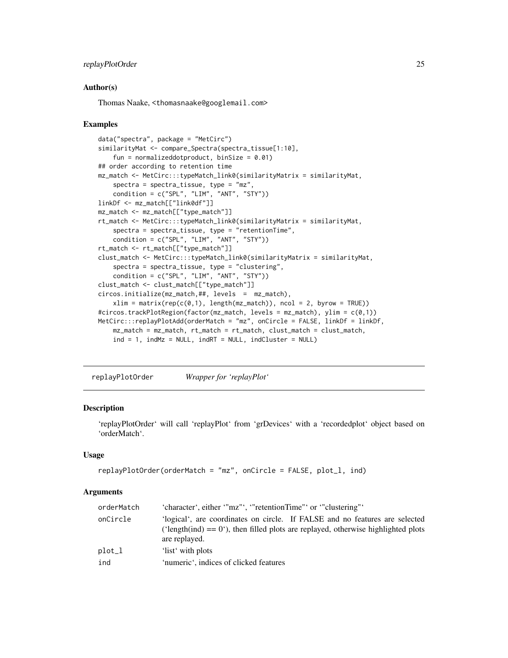### <span id="page-24-0"></span>replayPlotOrder 25

#### Author(s)

Thomas Naake, <thomasnaake@googlemail.com>

#### Examples

```
data("spectra", package = "MetCirc")
similarityMat <- compare_Spectra(spectra_tissue[1:10],
    fun = normalizeddotproduct, binSize = 0.01)
## order according to retention time
mz_match <- MetCirc:::typeMatch_link0(similarityMatrix = similarityMat,
    spectra = spectra_tissue, type = "mz",
    condition = c("SPL", "LIM", "ANT", "STY"))
linkDf <- mz_match[["link0df"]]
mz_match <- mz_match[["type_match"]]
rt_match <- MetCirc:::typeMatch_link0(similarityMatrix = similarityMat,
    spectra = spectra_tissue, type = "retentionTime",
    condition = c("SPL", "LIM", "ANT", "STY"))
rt_match <- rt_match[["type_match"]]
clust_match <- MetCirc:::typeMatch_link0(similarityMatrix = similarityMat,
    spectra = spectra_tissue, type = "clustering",
    condition = c("SPL", "LIM", "ANT", "STY"))
clust_match <- clust_match[["type_match"]]
circos.initialize(mz_match,##, levels = mz_match),
    xlim = matrix(rep(c(0,1), length(mz_matrix), ncol = 2, byrow = TRUE))#circos.trackPlotRegion(factor(mz_match, levels = mz_match), ylim = c(0,1))
MetCirc:::replayPlotAdd(orderMatch = "mz", onCircle = FALSE, linkDf = linkDf,
    mz_match = mz_match, rt_match = rt_match, clust_match = clust_match,
    ind = 1, indMz = NULL, indRT = NULL, indCLuster = NULL
```
replayPlotOrder *Wrapper for 'replayPlot'*

#### Description

'replayPlotOrder' will call 'replayPlot' from 'grDevices' with a 'recordedplot' object based on 'orderMatch'.

### Usage

```
replayPlotOrder(orderMatch = "mz", onCircle = FALSE, plot_l, ind)
```
#### Arguments

| orderMatch | 'character', either '"mz"', '"retentionTime"' or '"clustering"'                                                                                                                     |  |
|------------|-------------------------------------------------------------------------------------------------------------------------------------------------------------------------------------|--|
| onCircle   | 'logical', are coordinates on circle. If FALSE and no features are selected<br>('length(ind) = $0$ '), then filled plots are replayed, otherwise highlighted plots<br>are replayed. |  |
| plot_1     | 'list' with plots                                                                                                                                                                   |  |
| ind        | 'numeric', indices of clicked features                                                                                                                                              |  |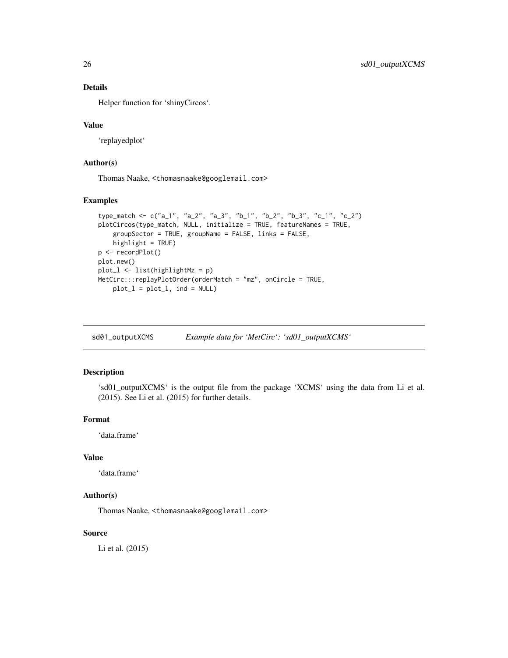### Details

Helper function for 'shinyCircos'.

#### Value

'replayedplot'

### Author(s)

Thomas Naake, <thomasnaake@googlemail.com>

#### Examples

```
type_match <- c("a_1", "a_2", "a_3", "b_1", "b_2", "b_3", "c_1", "c_2")
plotCircos(type_match, NULL, initialize = TRUE, featureNames = TRUE,
    groupSector = TRUE, groupName = FALSE, links = FALSE,
   highlight = TRUE)
p <- recordPlot()
plot.new()
plot_l <- list(highlightMz = p)
MetCirc:::replayPlotOrder(orderMatch = "mz", onCircle = TRUE,
   plot_l = plot_l, ind = NULL)
```
sd01\_outputXCMS *Example data for 'MetCirc': 'sd01\_outputXCMS'*

### Description

'sd01\_outputXCMS' is the output file from the package 'XCMS' using the data from Li et al. (2015). See Li et al. (2015) for further details.

### Format

'data.frame'

### Value

'data.frame'

### Author(s)

Thomas Naake, <thomasnaake@googlemail.com>

### Source

Li et al. (2015)

<span id="page-25-0"></span>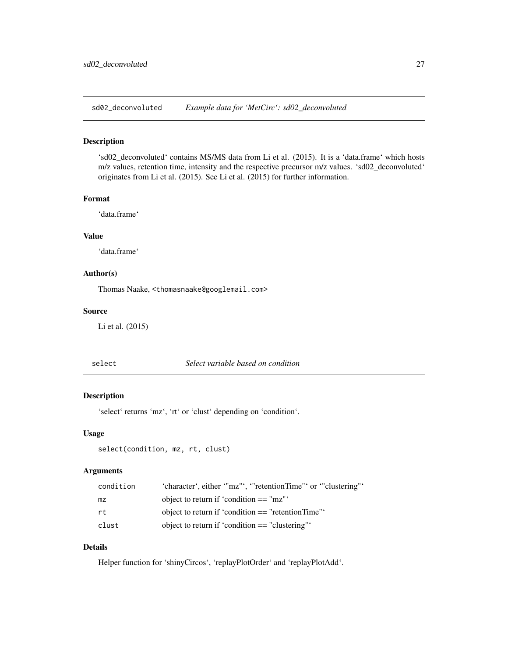<span id="page-26-0"></span>sd02\_deconvoluted *Example data for 'MetCirc': sd02\_deconvoluted*

### Description

'sd02\_deconvoluted' contains MS/MS data from Li et al. (2015). It is a 'data.frame' which hosts m/z values, retention time, intensity and the respective precursor m/z values. 'sd02\_deconvoluted' originates from Li et al. (2015). See Li et al. (2015) for further information.

#### Format

'data.frame'

### Value

'data.frame'

### Author(s)

Thomas Naake, <thomasnaake@googlemail.com>

#### Source

Li et al. (2015)

select *Select variable based on condition*

#### Description

'select' returns 'mz', 'rt' or 'clust' depending on 'condition'.

#### Usage

```
select(condition, mz, rt, clust)
```
### Arguments

| condition | 'character', either '"mz"', '"retentionTime"' or '"clustering"' |
|-----------|-----------------------------------------------------------------|
| mz        | object to return if 'condition $==$ "mz"'                       |
| rt.       | object to return if 'condition $==$ "retentionTime"'            |
| clust     | object to return if 'condition $==$ "clustering"'               |

### Details

Helper function for 'shinyCircos', 'replayPlotOrder' and 'replayPlotAdd'.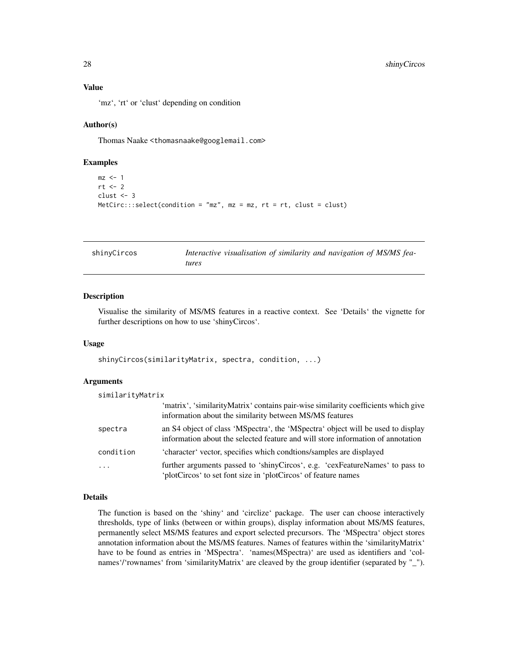'mz', 'rt' or 'clust' depending on condition

#### Author(s)

Thomas Naake <thomasnaake@googlemail.com>

#### Examples

```
mz <- 1
rt < -2clust <- 3
MetCirc::select(condition = "mz", mz = mz, rt = rt, clust = clust)
```

| shinyCircos | Interactive visualisation of similarity and navigation of MS/MS fea- |
|-------------|----------------------------------------------------------------------|
|             | tures                                                                |

### Description

Visualise the similarity of MS/MS features in a reactive context. See 'Details' the vignette for further descriptions on how to use 'shinyCircos'.

#### Usage

shinyCircos(similarityMatrix, spectra, condition, ...)

#### Arguments

| similarityMatrix |                                                                                                                                                                    |
|------------------|--------------------------------------------------------------------------------------------------------------------------------------------------------------------|
|                  | 'matrix', 'similarityMatrix' contains pair-wise similarity coefficients which give<br>information about the similarity between MS/MS features                      |
| spectra          | an S4 object of class 'MSpectra', the 'MSpectra' object will be used to display<br>information about the selected feature and will store information of annotation |
| condition        | 'character' vector, specifies which condtions/samples are displayed                                                                                                |
| $\cdot$          | further arguments passed to 'shinyCircos', e.g. 'cexFeatureNames' to pass to<br>'plotCircos' to set font size in 'plotCircos' of feature names                     |

#### Details

The function is based on the 'shiny' and 'circlize' package. The user can choose interactively thresholds, type of links (between or within groups), display information about MS/MS features, permanently select MS/MS features and export selected precursors. The 'MSpectra' object stores annotation information about the MS/MS features. Names of features within the 'similarityMatrix' have to be found as entries in 'MSpectra'. 'names(MSpectra)' are used as identifiers and 'colnames'/'rownames' from 'similarityMatrix' are cleaved by the group identifier (separated by "\_").

<span id="page-27-0"></span>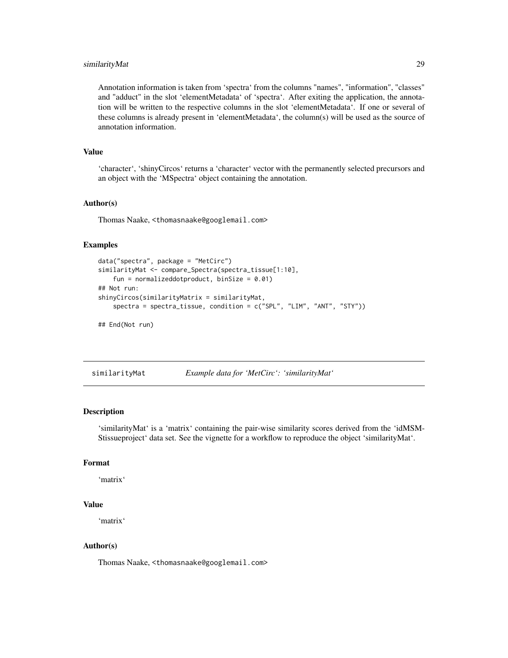### <span id="page-28-0"></span>similarityMat 29

Annotation information is taken from 'spectra' from the columns "names", "information", "classes" and "adduct" in the slot 'elementMetadata' of 'spectra'. After exiting the application, the annotation will be written to the respective columns in the slot 'elementMetadata'. If one or several of these columns is already present in 'elementMetadata', the column(s) will be used as the source of annotation information.

### Value

'character', 'shinyCircos' returns a 'character' vector with the permanently selected precursors and an object with the 'MSpectra' object containing the annotation.

#### Author(s)

Thomas Naake, <thomasnaake@googlemail.com>

#### Examples

```
data("spectra", package = "MetCirc")
similarityMat <- compare_Spectra(spectra_tissue[1:10],
    fun = normalizeddotproduct, binSize = 0.01)
## Not run:
shinyCircos(similarityMatrix = similarityMat,
    spectra = spectra_tissue, condition = c("SPL", "LIM", "ANT", "STY"))
## End(Not run)
```
similarityMat *Example data for 'MetCirc': 'similarityMat'*

#### Description

'similarityMat' is a 'matrix' containing the pair-wise similarity scores derived from the 'idMSM-Stissueproject' data set. See the vignette for a workflow to reproduce the object 'similarityMat'.

### Format

'matrix'

#### Value

'matrix'

### Author(s)

Thomas Naake, <thomasnaake@googlemail.com>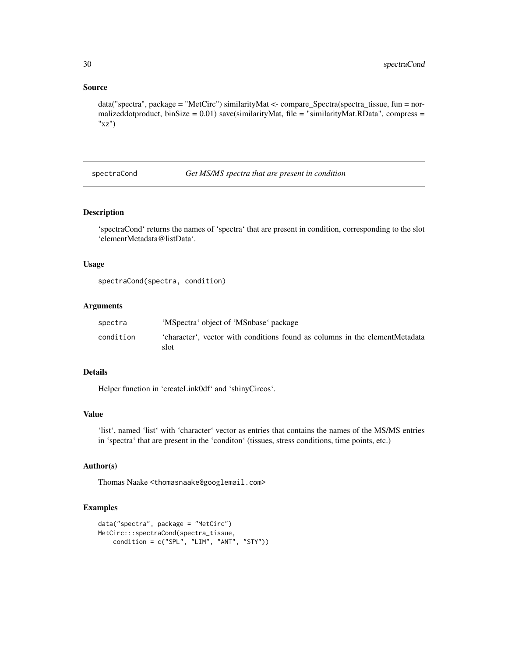#### Source

data("spectra", package = "MetCirc") similarityMat <- compare\_Spectra(spectra\_tissue, fun = normalizeddotproduct, binSize = 0.01) save(similarityMat, file = "similarityMat.RData", compress = "xz")

spectraCond *Get MS/MS spectra that are present in condition*

#### Description

'spectraCond' returns the names of 'spectra' that are present in condition, corresponding to the slot 'elementMetadata@listData'.

#### Usage

```
spectraCond(spectra, condition)
```
### Arguments

| spectra   | 'MSpectra' object of 'MSnbase' package                                              |
|-----------|-------------------------------------------------------------------------------------|
| condition | 'character', vector with conditions found as columns in the elementMetadata<br>slot |

### Details

Helper function in 'createLink0df' and 'shinyCircos'.

#### Value

'list', named 'list' with 'character' vector as entries that contains the names of the MS/MS entries in 'spectra' that are present in the 'conditon' (tissues, stress conditions, time points, etc.)

### Author(s)

Thomas Naake <thomasnaake@googlemail.com>

```
data("spectra", package = "MetCirc")
MetCirc:::spectraCond(spectra_tissue,
   condition = c("SPL", "LIM", "ANT", "STY"))
```
<span id="page-29-0"></span>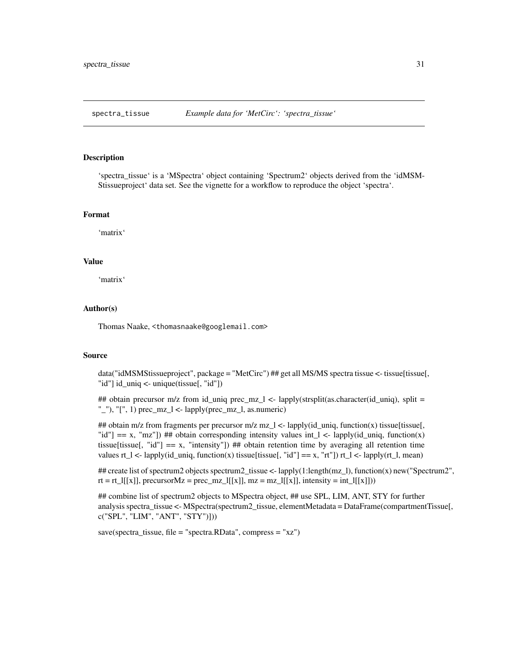<span id="page-30-0"></span>

'spectra\_tissue' is a 'MSpectra' object containing 'Spectrum2' objects derived from the 'idMSM-Stissueproject' data set. See the vignette for a workflow to reproduce the object 'spectra'.

#### Format

'matrix'

### Value

'matrix'

#### Author(s)

Thomas Naake, <thomasnaake@googlemail.com>

#### Source

data("idMSMStissueproject", package = "MetCirc") ## get all MS/MS spectra tissue <- tissue[tissue], "id"] id\_uniq <- unique(tissue[, "id"])

## obtain precursor m/z from id\_uniq prec\_mz\_l <- lapply(strsplit(as.character(id\_uniq), split = "\_"), "[", 1) prec\_mz\_l <- lapply(prec\_mz\_l, as.numeric)

## obtain m/z from fragments per precursor m/z mz\_l <- lapply(id\_uniq, function(x) tissue[tissue], "id"] == x, "mz"]) ## obtain corresponding intensity values int\_l <- lapply(id\_uniq, function(x) tissue[tissue[, "id"]  $== x$ , "intensity"]) ## obtain retention time by averaging all retention time values rt\_l <- lapply(id\_uniq, function(x) tissue[tissue[, "id"] == x, "rt"]) rt\_l <- lapply(rt\_l, mean)

## create list of spectrum2 objects spectrum2\_tissue <- lapply(1:length(mz\_l), function(x) new("Spectrum2", rt = rt\_l[[x]], precursorMz = prec\_mz\_l[[x]], mz = mz\_l[[x]], intensity = int\_l[[x]]))

## combine list of spectrum2 objects to MSpectra object, ## use SPL, LIM, ANT, STY for further analysis spectra\_tissue <- MSpectra(spectrum2\_tissue, elementMetadata = DataFrame(compartmentTissue[, c("SPL", "LIM", "ANT", "STY")]))

save(spectra\_tissue, file = "spectra.RData", compress = "xz")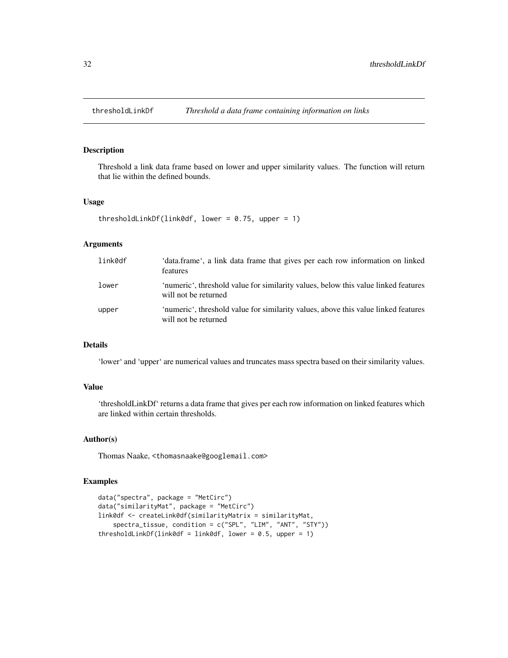<span id="page-31-0"></span>

Threshold a link data frame based on lower and upper similarity values. The function will return that lie within the defined bounds.

### Usage

```
thresholdLinkDf(link0df, lower = 0.75, upper = 1)
```
### Arguments

| link0df | 'data.frame', a link data frame that gives per each row information on linked<br><b>features</b>           |
|---------|------------------------------------------------------------------------------------------------------------|
| lower   | 'numeric', threshold value for similarity values, below this value linked features<br>will not be returned |
| upper   | 'numeric', threshold value for similarity values, above this value linked features<br>will not be returned |

### Details

'lower' and 'upper' are numerical values and truncates mass spectra based on their similarity values.

### Value

'thresholdLinkDf' returns a data frame that gives per each row information on linked features which are linked within certain thresholds.

### Author(s)

Thomas Naake, <thomasnaake@googlemail.com>

```
data("spectra", package = "MetCirc")
data("similarityMat", package = "MetCirc")
link0df <- createLink0df(similarityMatrix = similarityMat,
    spectra_tissue, condition = c("SPL", "LIM", "ANT", "STY"))
thresholdLinkDf(link0df = link0df, lower = 0.5, upper = 1)
```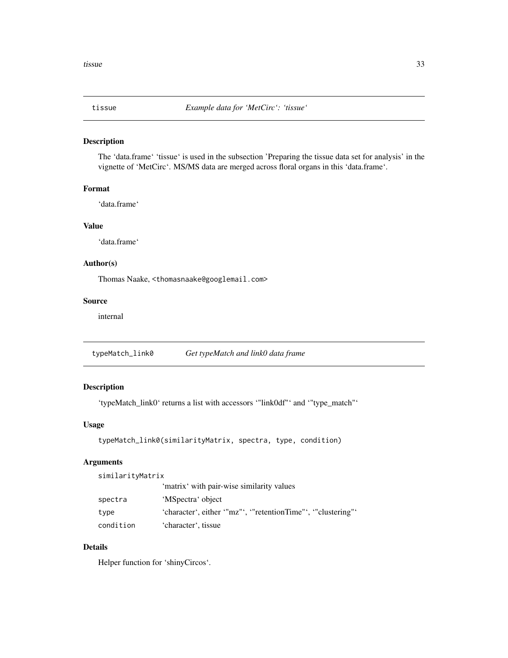<span id="page-32-0"></span>

The 'data.frame' 'tissue' is used in the subsection 'Preparing the tissue data set for analysis' in the vignette of 'MetCirc'. MS/MS data are merged across floral organs in this 'data.frame'.

### Format

'data.frame'

### Value

'data.frame'

### Author(s)

Thomas Naake, <thomasnaake@googlemail.com>

### Source

internal

typeMatch\_link0 *Get typeMatch and link0 data frame*

### Description

'typeMatch\_link0' returns a list with accessors '"link0df"' and '"type\_match"'

### Usage

```
typeMatch_link0(similarityMatrix, spectra, type, condition)
```
### Arguments

similarityMatrix

|           | 'matrix' with pair-wise similarity values                     |
|-----------|---------------------------------------------------------------|
| spectra   | 'MSpectra' object                                             |
| type      | 'character', either '"mz"', '"retentionTime"', '"clustering"' |
| condition | 'character', tissue                                           |

### Details

Helper function for 'shinyCircos'.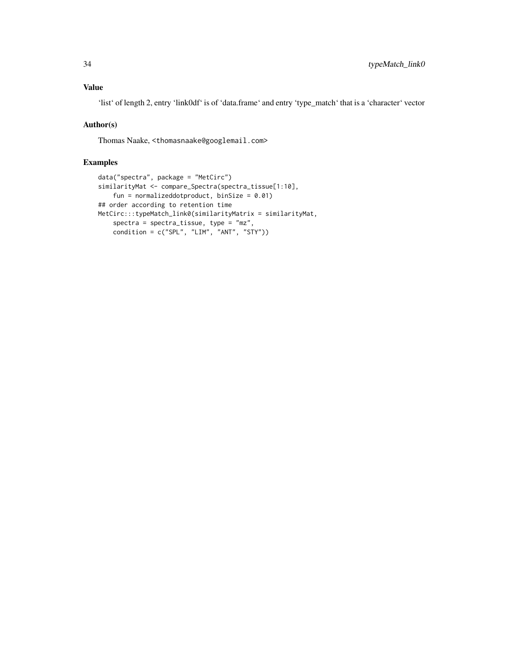### Value

'list' of length 2, entry 'link0df' is of 'data.frame' and entry 'type\_match' that is a 'character' vector

### Author(s)

Thomas Naake, <thomasnaake@googlemail.com>

```
data("spectra", package = "MetCirc")
similarityMat <- compare_Spectra(spectra_tissue[1:10],
    fun = normalizeddotproduct, binSize = 0.01)
## order according to retention time
MetCirc:::typeMatch_link0(similarityMatrix = similarityMat,
    spectra = spectra_tissue, type = "mz",
   condition = c("SPL", "LIM", "ANT", "STY"))
```